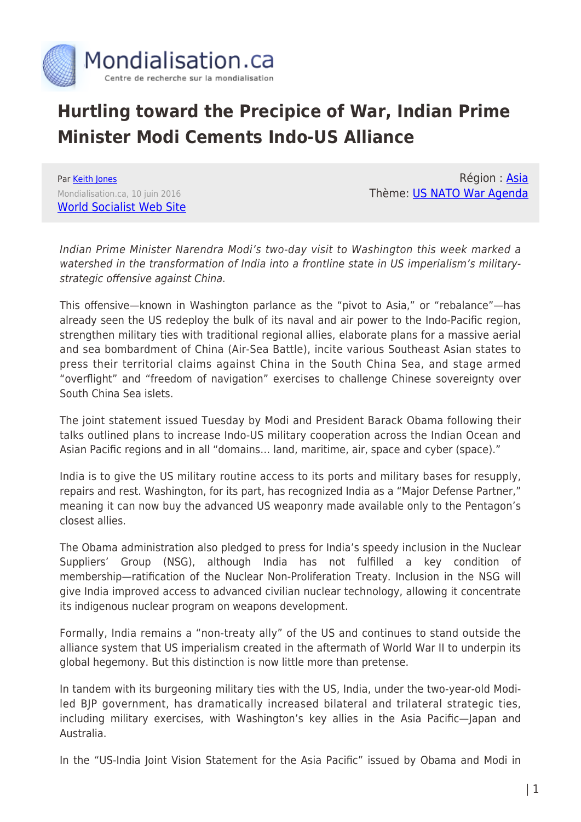

## **Hurtling toward the Precipice of War, Indian Prime Minister Modi Cements Indo-US Alliance**

Par [Keith Jones](https://www.mondialisation.ca/author/keith-jones) Mondialisation.ca, 10 juin 2016 [World Socialist Web Site](http://www.wsws.org/en/articles/2016/06/10/pers-j10.html)

Région : [Asia](https://www.mondialisation.ca/region/asia) Thème: [US NATO War Agenda](https://www.mondialisation.ca/theme/us-nato-war-agenda)

Indian Prime Minister Narendra Modi's two-day visit to Washington this week marked a watershed in the transformation of India into a frontline state in US imperialism's militarystrategic offensive against China.

This offensive—known in Washington parlance as the "pivot to Asia," or "rebalance"—has already seen the US redeploy the bulk of its naval and air power to the Indo-Pacific region, strengthen military ties with traditional regional allies, elaborate plans for a massive aerial and sea bombardment of China (Air-Sea Battle), incite various Southeast Asian states to press their territorial claims against China in the South China Sea, and stage armed "overflight" and "freedom of navigation" exercises to challenge Chinese sovereignty over South China Sea islets.

The joint statement issued Tuesday by Modi and President Barack Obama following their talks outlined plans to increase Indo-US military cooperation across the Indian Ocean and Asian Pacific regions and in all "domains… land, maritime, air, space and cyber (space)."

India is to give the US military routine access to its ports and military bases for resupply, repairs and rest. Washington, for its part, has recognized India as a "Major Defense Partner," meaning it can now buy the advanced US weaponry made available only to the Pentagon's closest allies.

The Obama administration also pledged to press for India's speedy inclusion in the Nuclear Suppliers' Group (NSG), although India has not fulfilled a key condition of membership—ratification of the Nuclear Non-Proliferation Treaty. Inclusion in the NSG will give India improved access to advanced civilian nuclear technology, allowing it concentrate its indigenous nuclear program on weapons development.

Formally, India remains a "non-treaty ally" of the US and continues to stand outside the alliance system that US imperialism created in the aftermath of World War II to underpin its global hegemony. But this distinction is now little more than pretense.

In tandem with its burgeoning military ties with the US, India, under the two-year-old Modiled BJP government, has dramatically increased bilateral and trilateral strategic ties, including military exercises, with Washington's key allies in the Asia Pacific—Japan and Australia.

In the "US-India Joint Vision Statement for the Asia Pacific" issued by Obama and Modi in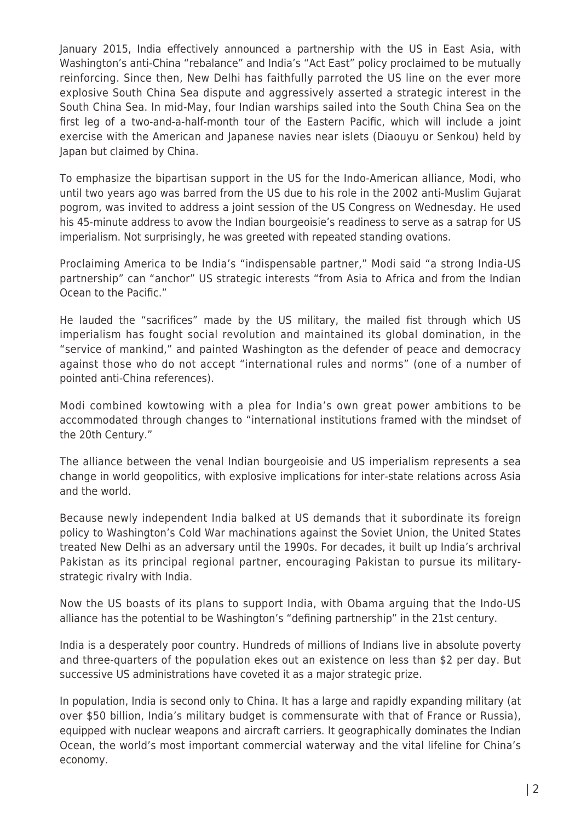January 2015, India effectively announced a partnership with the US in East Asia, with Washington's anti-China "rebalance" and India's "Act East" policy proclaimed to be mutually reinforcing. Since then, New Delhi has faithfully parroted the US line on the ever more explosive South China Sea dispute and aggressively asserted a strategic interest in the South China Sea. In mid-May, four Indian warships sailed into the South China Sea on the first leg of a two-and-a-half-month tour of the Eastern Pacific, which will include a joint exercise with the American and Japanese navies near islets (Diaouyu or Senkou) held by Japan but claimed by China.

To emphasize the bipartisan support in the US for the Indo-American alliance, Modi, who until two years ago was barred from the US due to his role in the 2002 anti-Muslim Gujarat pogrom, was invited to address a joint session of the US Congress on Wednesday. He used his 45-minute address to avow the Indian bourgeoisie's readiness to serve as a satrap for US imperialism. Not surprisingly, he was greeted with repeated standing ovations.

Proclaiming America to be India's "indispensable partner," Modi said "a strong India-US partnership" can "anchor" US strategic interests "from Asia to Africa and from the Indian Ocean to the Pacific."

He lauded the "sacrifices" made by the US military, the mailed fist through which US imperialism has fought social revolution and maintained its global domination, in the "service of mankind," and painted Washington as the defender of peace and democracy against those who do not accept "international rules and norms" (one of a number of pointed anti-China references).

Modi combined kowtowing with a plea for India's own great power ambitions to be accommodated through changes to "international institutions framed with the mindset of the 20th Century."

The alliance between the venal Indian bourgeoisie and US imperialism represents a sea change in world geopolitics, with explosive implications for inter-state relations across Asia and the world.

Because newly independent India balked at US demands that it subordinate its foreign policy to Washington's Cold War machinations against the Soviet Union, the United States treated New Delhi as an adversary until the 1990s. For decades, it built up India's archrival Pakistan as its principal regional partner, encouraging Pakistan to pursue its militarystrategic rivalry with India.

Now the US boasts of its plans to support India, with Obama arguing that the Indo-US alliance has the potential to be Washington's "defining partnership" in the 21st century.

India is a desperately poor country. Hundreds of millions of Indians live in absolute poverty and three-quarters of the population ekes out an existence on less than \$2 per day. But successive US administrations have coveted it as a major strategic prize.

In population, India is second only to China. It has a large and rapidly expanding military (at over \$50 billion, India's military budget is commensurate with that of France or Russia), equipped with nuclear weapons and aircraft carriers. It geographically dominates the Indian Ocean, the world's most important commercial waterway and the vital lifeline for China's economy.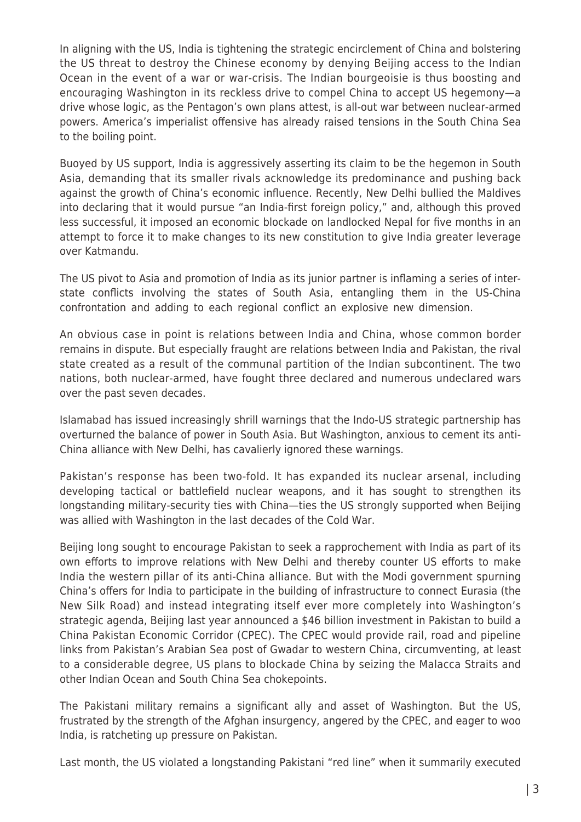In aligning with the US, India is tightening the strategic encirclement of China and bolstering the US threat to destroy the Chinese economy by denying Beijing access to the Indian Ocean in the event of a war or war-crisis. The Indian bourgeoisie is thus boosting and encouraging Washington in its reckless drive to compel China to accept US hegemony—a drive whose logic, as the Pentagon's own plans attest, is all-out war between nuclear-armed powers. America's imperialist offensive has already raised tensions in the South China Sea to the boiling point.

Buoyed by US support, India is aggressively asserting its claim to be the hegemon in South Asia, demanding that its smaller rivals acknowledge its predominance and pushing back against the growth of China's economic influence. Recently, New Delhi bullied the Maldives into declaring that it would pursue "an India-first foreign policy," and, although this proved less successful, it imposed an economic blockade on landlocked Nepal for five months in an attempt to force it to make changes to its new constitution to give India greater leverage over Katmandu.

The US pivot to Asia and promotion of India as its junior partner is inflaming a series of interstate conflicts involving the states of South Asia, entangling them in the US-China confrontation and adding to each regional conflict an explosive new dimension.

An obvious case in point is relations between India and China, whose common border remains in dispute. But especially fraught are relations between India and Pakistan, the rival state created as a result of the communal partition of the Indian subcontinent. The two nations, both nuclear-armed, have fought three declared and numerous undeclared wars over the past seven decades.

Islamabad has issued increasingly shrill warnings that the Indo-US strategic partnership has overturned the balance of power in South Asia. But Washington, anxious to cement its anti-China alliance with New Delhi, has cavalierly ignored these warnings.

Pakistan's response has been two-fold. It has expanded its nuclear arsenal, including developing tactical or battlefield nuclear weapons, and it has sought to strengthen its longstanding military-security ties with China—ties the US strongly supported when Beijing was allied with Washington in the last decades of the Cold War.

Beijing long sought to encourage Pakistan to seek a rapprochement with India as part of its own efforts to improve relations with New Delhi and thereby counter US efforts to make India the western pillar of its anti-China alliance. But with the Modi government spurning China's offers for India to participate in the building of infrastructure to connect Eurasia (the New Silk Road) and instead integrating itself ever more completely into Washington's strategic agenda, Beijing last year announced a \$46 billion investment in Pakistan to build a China Pakistan Economic Corridor (CPEC). The CPEC would provide rail, road and pipeline links from Pakistan's Arabian Sea post of Gwadar to western China, circumventing, at least to a considerable degree, US plans to blockade China by seizing the Malacca Straits and other Indian Ocean and South China Sea chokepoints.

The Pakistani military remains a significant ally and asset of Washington. But the US, frustrated by the strength of the Afghan insurgency, angered by the CPEC, and eager to woo India, is ratcheting up pressure on Pakistan.

Last month, the US violated a longstanding Pakistani "red line" when it summarily executed